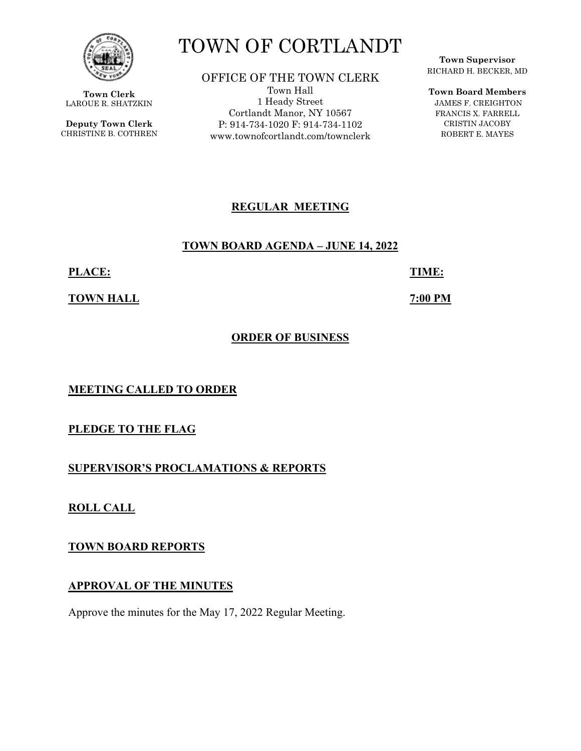

**Town Clerk**  LAROUE R. SHATZKIN

**Deputy Town Clerk**  CHRISTINE B. COTHREN

# TOWN OF CORTLANDT

OFFICE OF THE TOWN CLERK Town Hall 1 Heady Street Cortlandt Manor, NY 10567 P: 914-734-1020 F: 914-734-1102 www.townofcortlandt.com/townclerk

**Town Supervisor** RICHARD H. BECKER, MD

**Town Board Members**

 JAMES F. CREIGHTON FRANCIS X. FARRELL CRISTIN JACOBY ROBERT E. MAYES

# **REGULAR MEETING**

# **TOWN BOARD AGENDA – JUNE 14, 2022**

**PLACE: TIME:** 

**TOWN HALL** *TOWN HALL* 

# **ORDER OF BUSINESS**

**MEETING CALLED TO ORDER** 

**PLEDGE TO THE FLAG** 

**SUPERVISOR'S PROCLAMATIONS & REPORTS** 

**ROLL CALL** 

**TOWN BOARD REPORTS** 

**APPROVAL OF THE MINUTES** 

Approve the minutes for the May 17, 2022 Regular Meeting.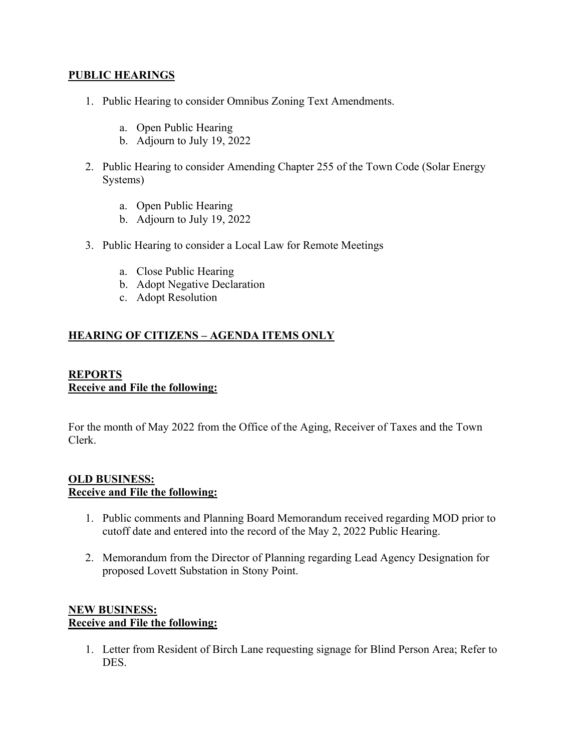#### **PUBLIC HEARINGS**

- 1. Public Hearing to consider Omnibus Zoning Text Amendments.
	- a. Open Public Hearing
	- b. Adjourn to July 19, 2022
- 2. Public Hearing to consider Amending Chapter 255 of the Town Code (Solar Energy Systems)
	- a. Open Public Hearing
	- b. Adjourn to July 19, 2022
- 3. Public Hearing to consider a Local Law for Remote Meetings
	- a. Close Public Hearing
	- b. Adopt Negative Declaration
	- c. Adopt Resolution

# **HEARING OF CITIZENS – AGENDA ITEMS ONLY**

### **REPORTS Receive and File the following:**

For the month of May 2022 from the Office of the Aging, Receiver of Taxes and the Town Clerk.

#### **OLD BUSINESS: Receive and File the following:**

- 1. Public comments and Planning Board Memorandum received regarding MOD prior to cutoff date and entered into the record of the May 2, 2022 Public Hearing.
- 2. Memorandum from the Director of Planning regarding Lead Agency Designation for proposed Lovett Substation in Stony Point.

# **NEW BUSINESS: Receive and File the following:**

1. Letter from Resident of Birch Lane requesting signage for Blind Person Area; Refer to DES.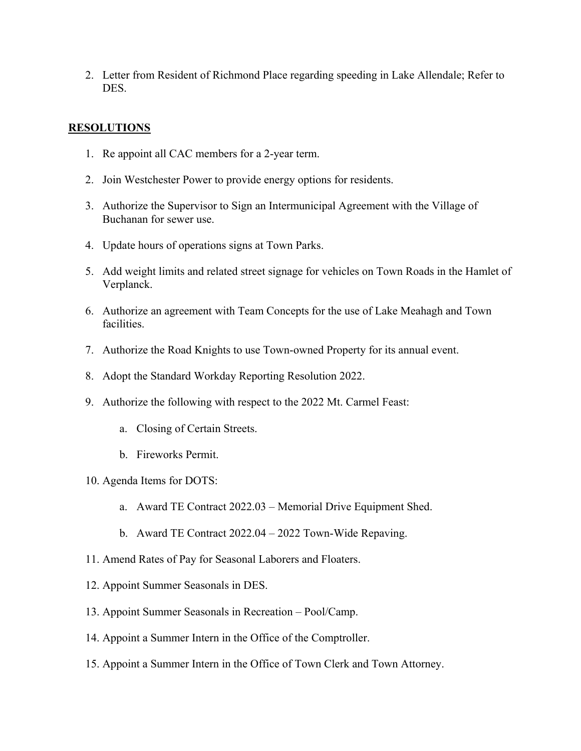2. Letter from Resident of Richmond Place regarding speeding in Lake Allendale; Refer to DES.

## **RESOLUTIONS**

- 1. Re appoint all CAC members for a 2-year term.
- 2. Join Westchester Power to provide energy options for residents.
- 3. Authorize the Supervisor to Sign an Intermunicipal Agreement with the Village of Buchanan for sewer use.
- 4. Update hours of operations signs at Town Parks.
- 5. Add weight limits and related street signage for vehicles on Town Roads in the Hamlet of Verplanck.
- 6. Authorize an agreement with Team Concepts for the use of Lake Meahagh and Town facilities.
- 7. Authorize the Road Knights to use Town-owned Property for its annual event.
- 8. Adopt the Standard Workday Reporting Resolution 2022.
- 9. Authorize the following with respect to the 2022 Mt. Carmel Feast:
	- a. Closing of Certain Streets.
	- b. Fireworks Permit.
- 10. Agenda Items for DOTS:
	- a. Award TE Contract 2022.03 Memorial Drive Equipment Shed.
	- b. Award TE Contract 2022.04 2022 Town-Wide Repaving.
- 11. Amend Rates of Pay for Seasonal Laborers and Floaters.
- 12. Appoint Summer Seasonals in DES.
- 13. Appoint Summer Seasonals in Recreation Pool/Camp.
- 14. Appoint a Summer Intern in the Office of the Comptroller.
- 15. Appoint a Summer Intern in the Office of Town Clerk and Town Attorney.